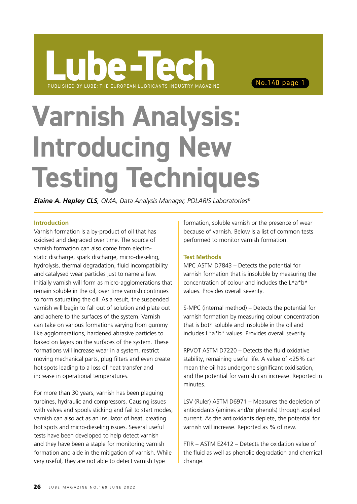# **Varnish Analysis: Introducing New Testing Techniques**

*Elaine A. Hepley CLS, OMA, Data Analysis Manager, POLARIS Laboratories®*

### **Introduction**

Varnish formation is a by-product of oil that has oxidised and degraded over time. The source of varnish formation can also come from electrostatic discharge, spark discharge, micro-dieseling, hydrolysis, thermal degradation, fluid incompatibility and catalysed wear particles just to name a few. Initially varnish will form as micro-agglomerations that remain soluble in the oil, over time varnish continues to form saturating the oil. As a result, the suspended varnish will begin to fall out of solution and plate out and adhere to the surfaces of the system. Varnish can take on various formations varying from gummy like agglomerations, hardened abrasive particles to baked on layers on the surfaces of the system. These formations will increase wear in a system, restrict moving mechanical parts, plug filters and even create hot spots leading to a loss of heat transfer and increase in operational temperatures.

For more than 30 years, varnish has been plaguing turbines, hydraulic and compressors. Causing issues with valves and spools sticking and fail to start modes. varnish can also act as an insulator of heat, creating hot spots and micro-dieseling issues. Several useful tests have been developed to help detect varnish and they have been a staple for monitoring varnish formation and aide in the mitigation of varnish. While very useful, they are not able to detect varnish type

formation, soluble varnish or the presence of wear because of varnish. Below is a list of common tests performed to monitor varnish formation.

## **Test Methods**

MPC ASTM D7843 – Detects the potential for varnish formation that is insoluble by measuring the concentration of colour and includes the L\*a\*b\* values. Provides overall severity.

S-MPC (internal method) – Detects the potential for varnish formation by measuring colour concentration that is both soluble and insoluble in the oil and includes L\*a\*b\* values. Provides overall severity.

RPVOT ASTM D7220 – Detects the fluid oxidative stability, remaining useful life. A value of <25% can mean the oil has undergone significant oxidisation, and the potential for varnish can increase. Reported in minutes.

LSV (Ruler) ASTM D6971 – Measures the depletion of antioxidants (amines and/or phenols) through applied current. As the antioxidants deplete, the potential for varnish will increase. Reported as % of new.

FTIR – ASTM E2412 – Detects the oxidation value of the fluid as well as phenolic degradation and chemical change.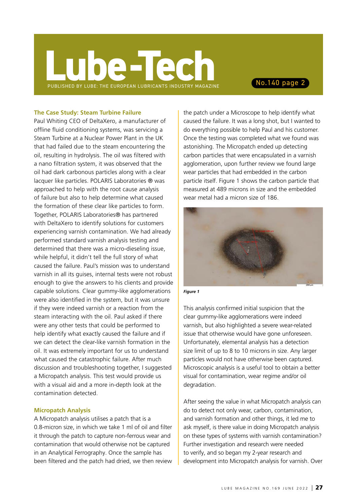### **The Case Study: Steam Turbine Failure**

Paul Whiting CEO of DeltaXero, a manufacturer of offline fluid conditioning systems, was servicing a Steam Turbine at a Nuclear Power Plant in the UK that had failed due to the steam encountering the oil, resulting in hydrolysis. The oil was filtered with a nano filtration system, it was observed that the oil had dark carbonous particles along with a clear lacquer like particles. POLARIS Laboratories ® was approached to help with the root cause analysis of failure but also to help determine what caused the formation of these clear like particles to form. Together, POLARIS Laboratories® has partnered with DeltaXero to identify solutions for customers experiencing varnish contamination. We had already performed standard varnish analysis testing and determined that there was a micro-dieseling issue, while helpful, it didn't tell the full story of what caused the failure. Paul's mission was to understand varnish in all its guises, internal tests were not robust enough to give the answers to his clients and provide capable solutions. Clear gummy-like agglomerations were also identified in the system, but it was unsure if they were indeed varnish or a reaction from the steam interacting with the oil. Paul asked if there were any other tests that could be performed to help identify what exactly caused the failure and if we can detect the clear-like varnish formation in the oil. It was extremely important for us to understand what caused the catastrophic failure. After much discussion and troubleshooting together, I suggested a Micropatch analysis. This test would provide us with a visual aid and a more in-depth look at the contamination detected.

### **Micropatch Analysis**

A Micropatch analysis utilises a patch that is a 0.8-micron size, in which we take 1 ml of oil and filter it through the patch to capture non-ferrous wear and contamination that would otherwise not be captured in an Analytical Ferrography. Once the sample has been filtered and the patch had dried, we then review

the patch under a Microscope to help identify what caused the failure. It was a long shot, but I wanted to do everything possible to help Paul and his customer. Once the testing was completed what we found was astonishing. The Micropatch ended up detecting carbon particles that were encapsulated in a varnish agglomeration, upon further review we found large wear particles that had embedded in the carbon particle itself. Figure 1 shows the carbon particle that measured at 489 microns in size and the embedded wear metal had a micron size of 186.





This analysis confirmed initial suspicion that the clear gummy-like agglomerations were indeed varnish, but also highlighted a severe wear-related issue that otherwise would have gone unforeseen. Unfortunately, elemental analysis has a detection size limit of up to 8 to 10 microns in size. Any larger particles would not have otherwise been captured. Microscopic analysis is a useful tool to obtain a better visual for contamination, wear regime and/or oil degradation.

After seeing the value in what Micropatch analysis can do to detect not only wear, carbon, contamination, and varnish formation and other things, it led me to ask myself, is there value in doing Micropatch analysis on these types of systems with varnish contamination? Further investigation and research were needed to verify, and so began my 2-year research and development into Micropatch analysis for varnish. Over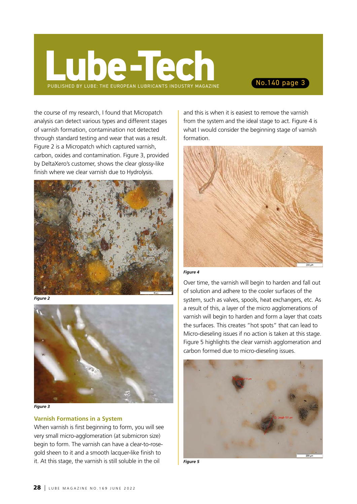the course of my research, I found that Micropatch analysis can detect various types and different stages of varnish formation, contamination not detected through standard testing and wear that was a result. Figure 2 is a Micropatch which captured varnish, carbon, oxides and contamination. Figure 3, provided by DeltaXero's customer, shows the clear glossy-like finish where we clear varnish due to Hydrolysis.



*Figure 2*



*Figure 3*

### **Varnish Formations in a System**

When varnish is first beginning to form, you will see very small micro-agglomeration (at submicron size) begin to form. The varnish can have a clear-to-rosegold sheen to it and a smooth lacquer-like finish to it. At this stage, the varnish is still soluble in the oil

and this is when it is easiest to remove the varnish from the system and the ideal stage to act. Figure 4 is what I would consider the beginning stage of varnish formation.



### *Figure 4*

Over time, the varnish will begin to harden and fall out of solution and adhere to the cooler surfaces of the system, such as valves, spools, heat exchangers, etc. As a result of this, a layer of the micro agglomerations of varnish will begin to harden and form a layer that coats the surfaces. This creates "hot spots" that can lead to Micro-dieseling issues if no action is taken at this stage. Figure 5 highlights the clear varnish agglomeration and carbon formed due to micro-dieseling issues.



*Figure 5*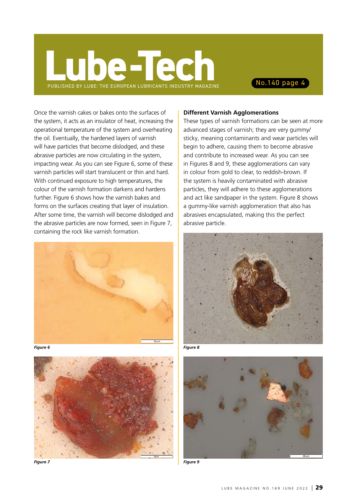Once the varnish cakes or bakes onto the surfaces of the system, it acts as an insulator of heat, increasing the operational temperature of the system and overheating the oil. Eventually, the hardened layers of varnish will have particles that become dislodged, and these abrasive particles are now circulating in the system, impacting wear. As you can see Figure 6, some of these varnish particles will start translucent or thin and hard. With continued exposure to high temperatures, the colour of the varnish formation darkens and hardens further. Figure 6 shows how the varnish bakes and forms on the surfaces creating that layer of insulation. After some time, the varnish will become dislodged and the abrasive particles are now formed, seen in Figure 7, containing the rock like varnish formation.







*Figure 7*

### **Different Varnish Agglomerations**

These types of varnish formations can be seen at more advanced stages of varnish; they are very gummy/ sticky, meaning contaminants and wear particles will begin to adhere, causing them to become abrasive and contribute to increased wear. As you can see in Figures 8 and 9, these agglomerations can vary in colour from gold to clear, to reddish-brown. If the system is heavily contaminated with abrasive particles, they will adhere to these agglomerations and act like sandpaper in the system. Figure 8 shows a gummy-like varnish agglomeration that also has abrasives encapsulated, making this the perfect abrasive particle.







*Figure 9*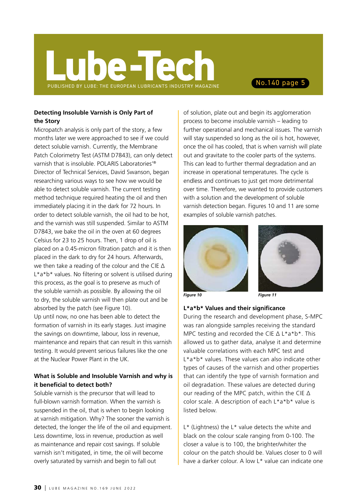## PUBLISHED BY LUBE: THE EUROPEAN LUBRICANTS INDUSTRY MAGAZINE **e-Tech** No.140 page 5

## **Detecting Insoluble Varnish is Only Part of the Story**

Micropatch analysis is only part of the story, a few months later we were approached to see if we could detect soluble varnish. Currently, the Membrane Patch Colorimetry Test (ASTM D7843), can only detect varnish that is insoluble. POLARIS Laboratories'® Director of Technical Services, David Swanson, began researching various ways to see how we would be able to detect soluble varnish. The current testing method technique required heating the oil and then immediately placing it in the dark for 72 hours. In order to detect soluble varnish, the oil had to be hot, and the varnish was still suspended. Similar to ASTM D7843, we bake the oil in the oven at 60 degrees Celsius for 23 to 25 hours. Then, 1 drop of oil is placed on a 0.45-micron filtration patch and it is then placed in the dark to dry for 24 hours. Afterwards, we then take a reading of the colour and the CIE ∆ L<sup>\*</sup>a<sup>\*b\*</sup> values. No filtering or solvent is utilised during this process, as the goal is to preserve as much of the soluble varnish as possible. By allowing the oil to dry, the soluble varnish will then plate out and be absorbed by the patch (see Figure 10). Up until now, no one has been able to detect the formation of varnish in its early stages. Just imagine the savings on downtime, labour, loss in revenue, maintenance and repairs that can result in this varnish testing. It would prevent serious failures like the one at the Nuclear Power Plant in the UK.

## **What is Soluble and Insoluble Varnish and why is it beneficial to detect both?**

Soluble varnish is the precursor that will lead to full-blown varnish formation. When the varnish is suspended in the oil, that is when to begin looking at varnish mitigation. Why? The sooner the varnish is detected, the longer the life of the oil and equipment. Less downtime, loss in revenue, production as well as maintenance and repair cost savings. If soluble varnish isn't mitigated, in time, the oil will become overly saturated by varnish and begin to fall out

of solution, plate out and begin its agglomeration process to become insoluble varnish – leading to further operational and mechanical issues. The varnish will stay suspended so long as the oil is hot, however, once the oil has cooled, that is when varnish will plate out and gravitate to the cooler parts of the systems. This can lead to further thermal degradation and an increase in operational temperatures. The cycle is endless and continues to just get more detrimental over time. Therefore, we wanted to provide customers with a solution and the development of soluble varnish detection began. Figures 10 and 11 are some examples of soluble varnish patches.





*Figure 10 Figure 11*

## **L\*a\*b\* Values and their significance**

During the research and development phase, S-MPC was ran alongside samples receiving the standard MPC testing and recorded the CIE ∆ L\*a\*b\*. This allowed us to gather data, analyse it and determine valuable correlations with each MPC test and L\*a\*b\* values. These values can also indicate other types of causes of the varnish and other properties that can identify the type of varnish formation and oil degradation. These values are detected during our reading of the MPC patch, within the CIE ∆ color scale. A description of each L\*a\*b\* value is listed below.

L\* (Lightness) the L\* value detects the white and black on the colour scale ranging from 0-100. The closer a value is to 100, the brighter/whiter the colour on the patch should be. Values closer to 0 will have a darker colour. A low L\* value can indicate one